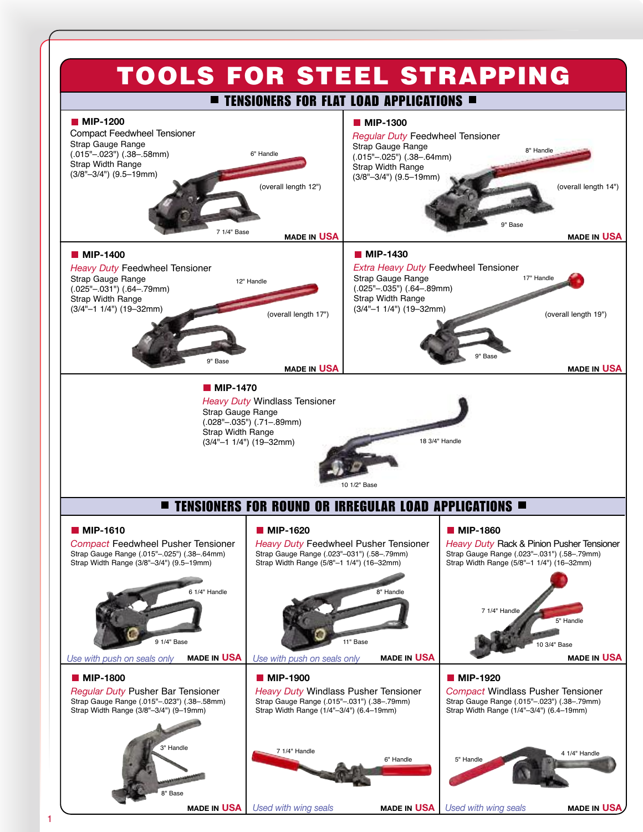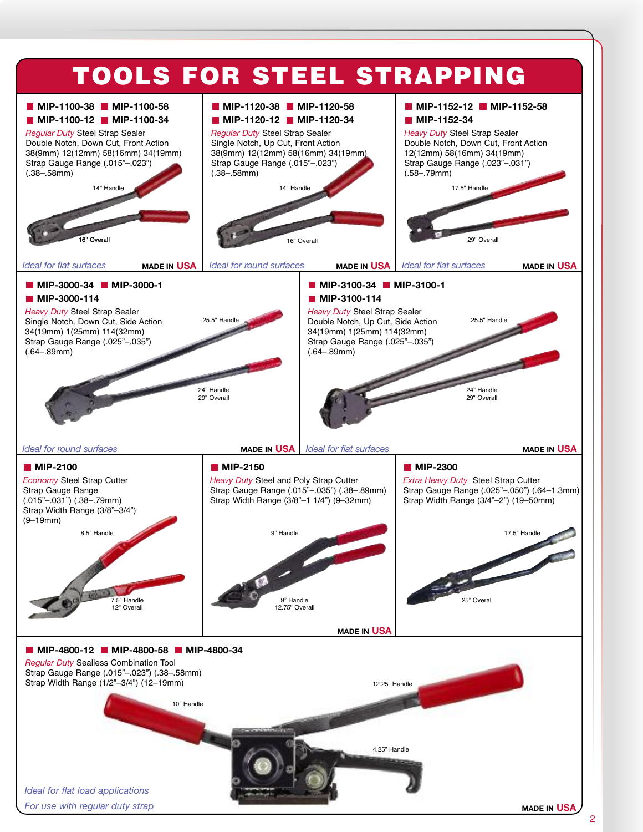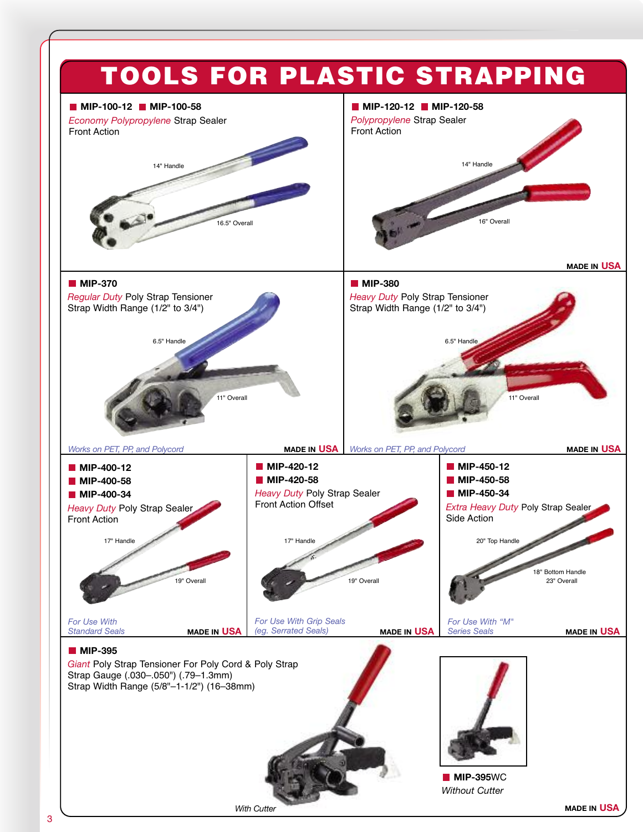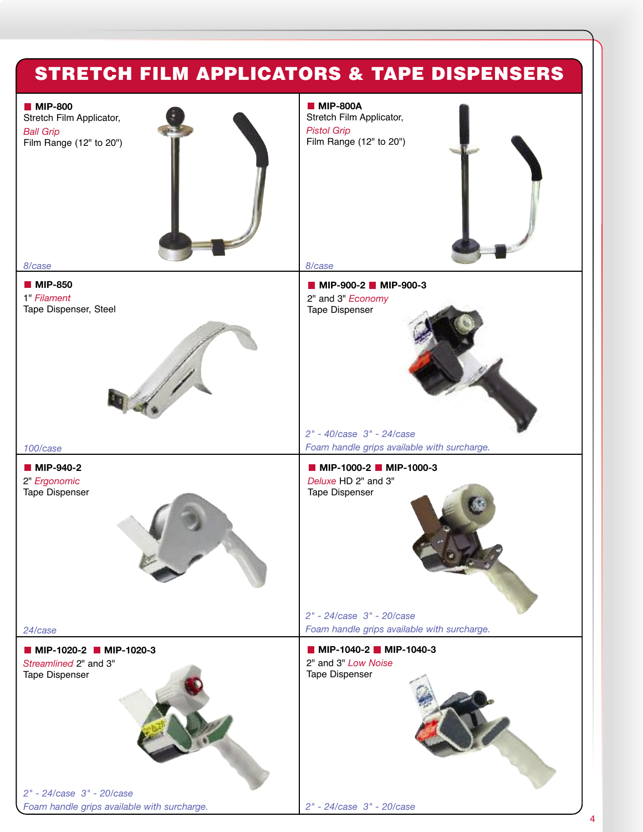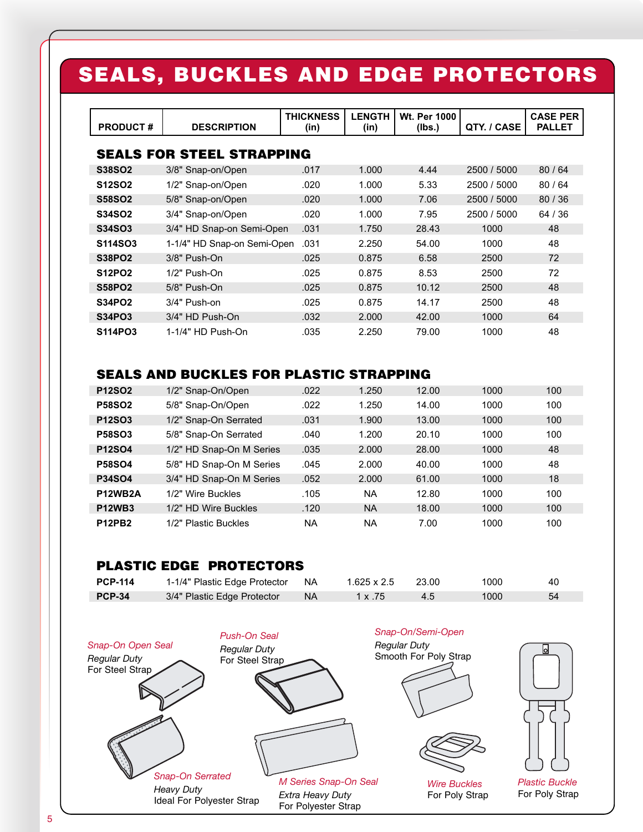## **SEALS, BUCKLES AND EDGE PROTECTORS**

| <b>PRODUCT#</b>                  | <b>DESCRIPTION</b>          | <b>THICKNESS</b><br>(in) | <b>LENGTH</b><br>(in) | <b>Wt. Per 1000</b><br>(Ibs.) | QTY. / CASE | <b>CASE PER</b><br><b>PALLET</b> |  |
|----------------------------------|-----------------------------|--------------------------|-----------------------|-------------------------------|-------------|----------------------------------|--|
| <b>SEALS FOR STEEL STRAPPING</b> |                             |                          |                       |                               |             |                                  |  |
| S38SO2                           | 3/8" Snap-on/Open           | .017                     | 1.000                 | 4.44                          | 2500 / 5000 | 80/64                            |  |
| <b>S12SO2</b>                    | 1/2" Snap-on/Open           | .020                     | 1.000                 | 5.33                          | 2500 / 5000 | 80/64                            |  |
| <b>S58SO2</b>                    | 5/8" Snap-on/Open           | .020                     | 1.000                 | 7.06                          | 2500 / 5000 | 80/36                            |  |
| <b>S34SO2</b>                    | 3/4" Snap-on/Open           | .020                     | 1.000                 | 7.95                          | 2500 / 5000 | 64 / 36                          |  |
| S34SO3                           | 3/4" HD Snap-on Semi-Open   | .031                     | 1.750                 | 28.43                         | 1000        | 48                               |  |
| S114SO3                          | 1-1/4" HD Snap-on Semi-Open | .031                     | 2.250                 | 54.00                         | 1000        | 48                               |  |
| <b>S38PO2</b>                    | 3/8" Push-On                | .025                     | 0.875                 | 6.58                          | 2500        | 72                               |  |
| <b>S12PO2</b>                    | 1/2" Push-On                | .025                     | 0.875                 | 8.53                          | 2500        | 72                               |  |
| <b>S58PO2</b>                    | 5/8" Push-On                | .025                     | 0.875                 | 10.12                         | 2500        | 48                               |  |
| <b>S34PO2</b>                    | 3/4" Push-on                | .025                     | 0.875                 | 14.17                         | 2500        | 48                               |  |
| S34PO3                           | 3/4" HD Push-On             | .032                     | 2.000                 | 42.00                         | 1000        | 64                               |  |
| S114PO3                          | 1-1/4" HD Push-On           | .035                     | 2.250                 | 79.00                         | 1000        | 48                               |  |

### **SEALS AND BUCKLES FOR PLASTIC STRAPPING**

| <b>P12SO2</b>  | 1/2" Snap-On/Open        | .022 | 1.250     | 12.00 | 1000 | 100 |
|----------------|--------------------------|------|-----------|-------|------|-----|
| <b>P58SO2</b>  | 5/8" Snap-On/Open        | .022 | 1.250     | 14.00 | 1000 | 100 |
| P12SO3         | 1/2" Snap-On Serrated    | .031 | 1.900     | 13.00 | 1000 | 100 |
| <b>P58SO3</b>  | 5/8" Snap-On Serrated    | .040 | 1.200     | 20.10 | 1000 | 100 |
| <b>P12SO4</b>  | 1/2" HD Snap-On M Series | .035 | 2.000     | 28.00 | 1000 | 48  |
| <b>P58SO4</b>  | 5/8" HD Snap-On M Series | .045 | 2.000     | 40.00 | 1000 | 48  |
| <b>P34SO4</b>  | 3/4" HD Snap-On M Series | .052 | 2.000     | 61.00 | 1000 | 18  |
| <b>P12WB2A</b> | 1/2" Wire Buckles        | .105 | <b>NA</b> | 12.80 | 1000 | 100 |
| <b>P12WB3</b>  | 1/2" HD Wire Buckles     | .120 | <b>NA</b> | 18.00 | 1000 | 100 |
| <b>P12PB2</b>  | 1/2" Plastic Buckles     | ΝA   | ΝA        | 7.00  | 1000 | 100 |

## **PLASTIC EDGE PROTECTORS**

| <b>PCP-114</b> | 1-1/4" Plastic Edge Protector NA |           | 1.625 x 2.5    | 23.00 | 1000 | 40 |
|----------------|----------------------------------|-----------|----------------|-------|------|----|
| <b>PCP-34</b>  | 3/4" Plastic Edge Protector      | <b>NA</b> | $1 \times .75$ |       | 1000 |    |

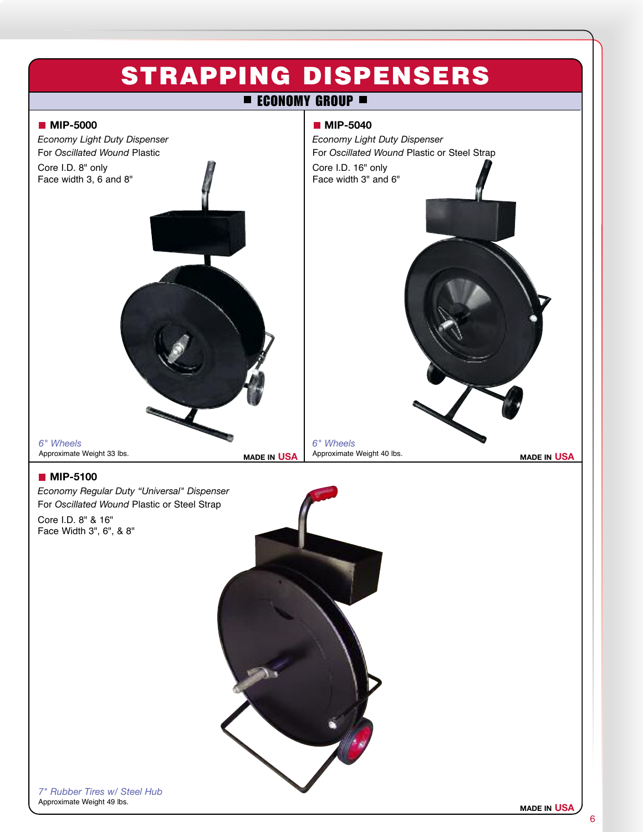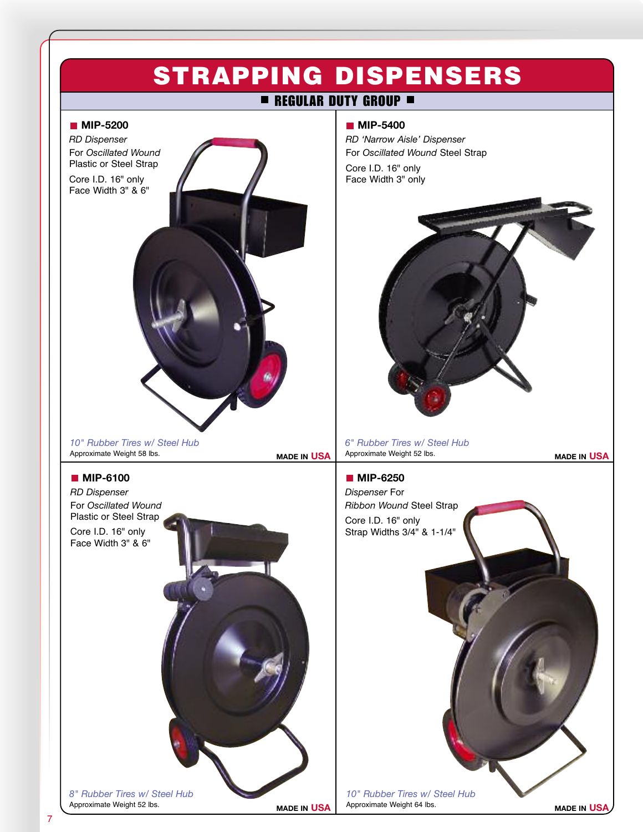# **STRAPPING DISPENSERS**

## **REGULAR DUTY GROUP**

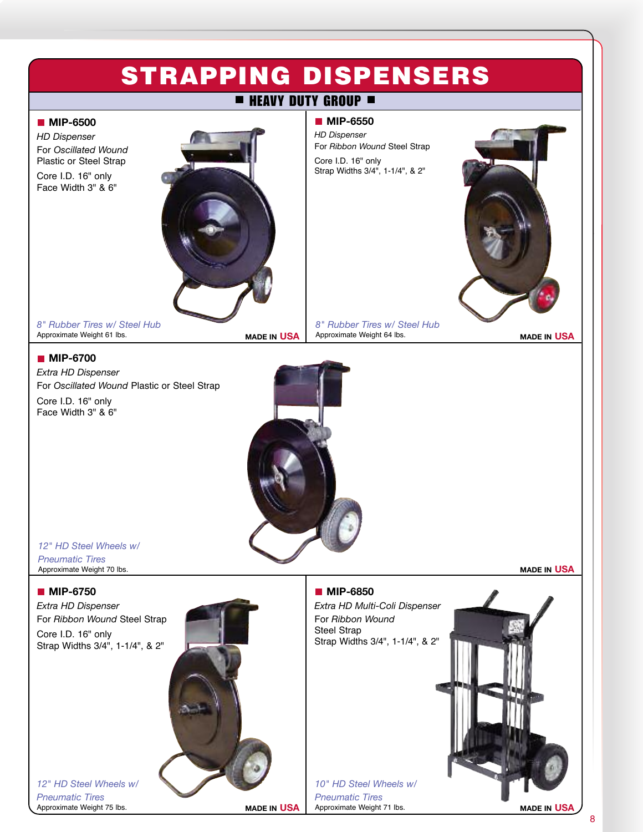## **STRAPPING DISPENSERS**

## **HEAVY DUTY GROUP**

**MIP-6550** *HD Dispenser*

Core I.D. 16" only

For *Ribbon Wound* Steel Strap

Strap Widths 3/4", 1-1/4", & 2"

#### **MIP-6500**

*HD Dispenser* For *Oscillated Wound* Plastic or Steel Strap

Core I.D. 16" only Face Width 3" & 6"



*8" Rubber Tires w/ Steel Hub* Approximate Weight 61 lbs.

#### **MIP-6700**

*Extra HD Dispenser* For *Oscillated Wound* Plastic or Steel Strap Core I.D. 16" only Face Width 3" & 6"

*8" Rubber Tires w/ Steel Hub* Approximate Weight 64 lbs. **MADE IN USA MADE IN USA**





*12" HD Steel Wheels w/ Pneumatic Tires*

Approximate Weight 70 lbs.

#### **MIP-6750**

*Extra HD Dispenser* For *Ribbon Wound* Steel Strap Core I.D. 16" only Strap Widths 3/4", 1-1/4", & 2"



### **MIP-6850**

*Extra HD Multi-Coli Dispenser* For *Ribbon Wound* Steel Strap Strap Widths 3/4", 1-1/4", & 2"

*10" HD Steel Wheels w/ Pneumatic Tires* Approximate Weight 71 lbs. **MADE IN USA MADE IN USA**



8

*12" HD Steel Wheels w/ Pneumatic Tires* Approximate Weight 75 lbs.